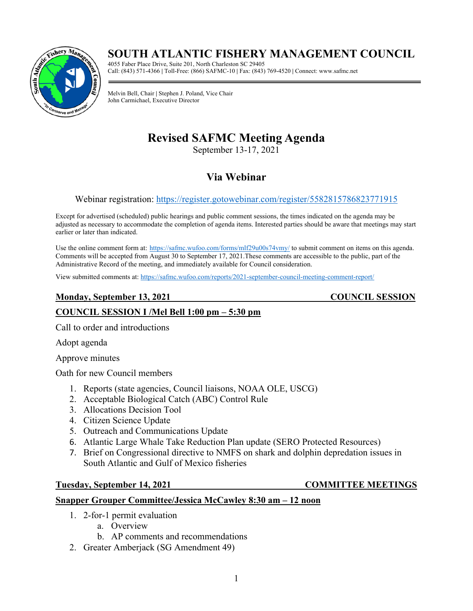# **SOUTH ATLANTIC FISHERY MANAGEMENT COUNCIL**



4055 Faber Place Drive, Suite 201, North Charleston SC 29405 Call: (843) 571-4366 **|** Toll-Free: (866) SAFMC-10 **|** Fax: (843) 769-4520 **|** Connect: www.safmc.net

Melvin Bell, Chair **|** Stephen J. Poland, Vice Chair John Carmichael, Executive Director

# **Revised SAFMC Meeting Agenda**

September 13-17, 2021

## **Via Webinar**

### Webinar registration:<https://register.gotowebinar.com/register/5582815786823771915>

Except for advertised (scheduled) public hearings and public comment sessions, the times indicated on the agenda may be adjusted as necessary to accommodate the completion of agenda items. Interested parties should be aware that meetings may start earlier or later than indicated.

Use the online comment form at: <https://safmc.wufoo.com/forms/mlf29u00s74vmy/> to submit comment on items on this agenda. Comments will be accepted from August 30 to September 17, 2021.These comments are accessible to the public, part of the Administrative Record of the meeting, and immediately available for Council consideration.

View submitted comments at:<https://safmc.wufoo.com/reports/2021-september-council-meeting-comment-report/>

### **Monday, September 13, 2021** COUNCIL SESSION

### **COUNCIL SESSION I /Mel Bell 1:00 pm – 5:30 pm**

Call to order and introductions

Adopt agenda

Approve minutes

Oath for new Council members

- 1. Reports (state agencies, Council liaisons, NOAA OLE, USCG)
- 2. Acceptable Biological Catch (ABC) Control Rule
- 3. Allocations Decision Tool
- 4. Citizen Science Update
- 5. Outreach and Communications Update
- 6. Atlantic Large Whale Take Reduction Plan update (SERO Protected Resources)
- 7. Brief on Congressional directive to NMFS on shark and dolphin depredation issues in South Atlantic and Gulf of Mexico fisheries

### **Tuesday, September 14, 2021 COMMITTEE MEETINGS**

#### **Snapper Grouper Committee/Jessica McCawley 8:30 am – 12 noon**

- 1. 2-for-1 permit evaluation
	- a. Overview
	- b. AP comments and recommendations
- 2. Greater Amberjack (SG Amendment 49)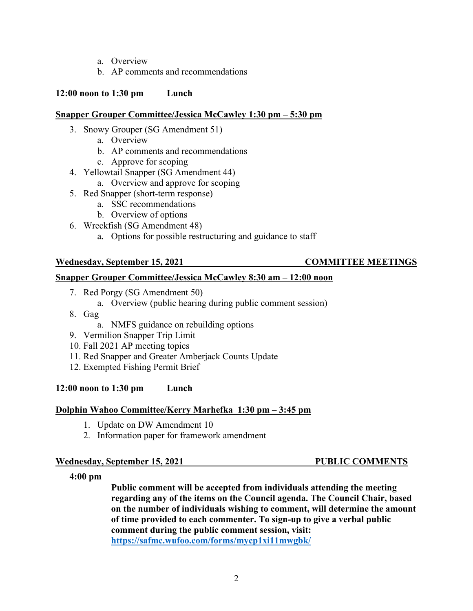- a. Overview
- b. AP comments and recommendations

#### **12:00 noon to 1:30 pm Lunch**

#### **Snapper Grouper Committee/Jessica McCawley 1:30 pm – 5:30 pm**

- 3. Snowy Grouper (SG Amendment 51)
	- a. Overview
	- b. AP comments and recommendations
	- c. Approve for scoping
- 4. Yellowtail Snapper (SG Amendment 44)
	- a. Overview and approve for scoping
- 5. Red Snapper (short-term response)
	- a. SSC recommendations
	- b. Overview of options
- 6. Wreckfish (SG Amendment 48)
	- a. Options for possible restructuring and guidance to staff

#### **Wednesday, September 15, 2021 COMMITTEE MEETINGS**

### **Snapper Grouper Committee/Jessica McCawley 8:30 am – 12:00 noon**

- 7. Red Porgy (SG Amendment 50)
	- a. Overview (public hearing during public comment session)
- 8. Gag
	- a. NMFS guidance on rebuilding options
- 9. Vermilion Snapper Trip Limit
- 10. Fall 2021 AP meeting topics
- 11. Red Snapper and Greater Amberjack Counts Update
- 12. Exempted Fishing Permit Brief

### **12:00 noon to 1:30 pm Lunch**

#### **Dolphin Wahoo Committee/Kerry Marhefka 1:30 pm – 3:45 pm**

- 1. Update on DW Amendment 10
- 2. Information paper for framework amendment

#### **Wednesday, September 15, 2021 PUBLIC COMMENTS**

#### **4:00 pm**

**Public comment will be accepted from individuals attending the meeting regarding any of the items on the Council agenda. The Council Chair, based on the number of individuals wishing to comment, will determine the amount of time provided to each commenter. To sign-up to give a verbal public comment during the public comment session, visit: <https://safmc.wufoo.com/forms/mycp1xi11mwgbk/>**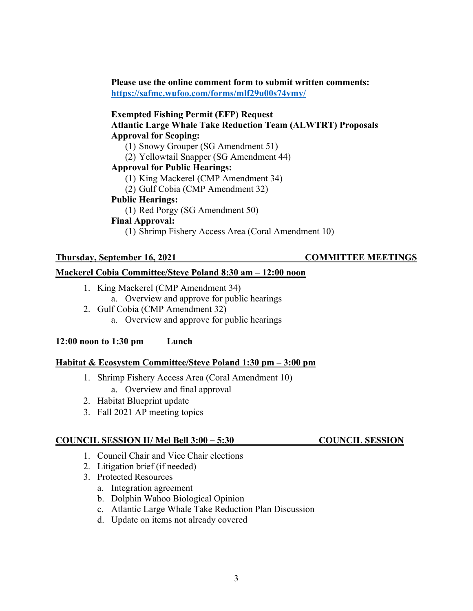**Please use the online comment form to submit written comments: <https://safmc.wufoo.com/forms/mlf29u00s74vmy/>**

#### **Exempted Fishing Permit (EFP) Request Atlantic Large Whale Take Reduction Team (ALWTRT) Proposals Approval for Scoping:**

- (1) Snowy Grouper (SG Amendment 51)
- (2) Yellowtail Snapper (SG Amendment 44)

#### **Approval for Public Hearings:**

- (1) King Mackerel (CMP Amendment 34)
- (2) Gulf Cobia (CMP Amendment 32)

#### **Public Hearings:**

(1) Red Porgy (SG Amendment 50)

#### **Final Approval:**

(1) Shrimp Fishery Access Area (Coral Amendment 10)

#### **Thursday, September 16, 2021 COMMITTEE MEETINGS**

#### **Mackerel Cobia Committee/Steve Poland 8:30 am – 12:00 noon**

- 1. King Mackerel (CMP Amendment 34)
	- a. Overview and approve for public hearings
- 2. Gulf Cobia (CMP Amendment 32) a. Overview and approve for public hearings

**12:00 noon to 1:30 pm Lunch**

#### **Habitat & Ecosystem Committee/Steve Poland 1:30 pm – 3:00 pm**

- 1. Shrimp Fishery Access Area (Coral Amendment 10) a. Overview and final approval
- 2. Habitat Blueprint update
- 3. Fall 2021 AP meeting topics

#### **COUNCIL SESSION II/ Mel Bell 3:00** – **5:30 COUNCIL SESSION**

- 1. Council Chair and Vice Chair elections
- 2. Litigation brief (if needed)
- 3. Protected Resources
	- a. Integration agreement
	- b. Dolphin Wahoo Biological Opinion
	- c. Atlantic Large Whale Take Reduction Plan Discussion
	- d. Update on items not already covered